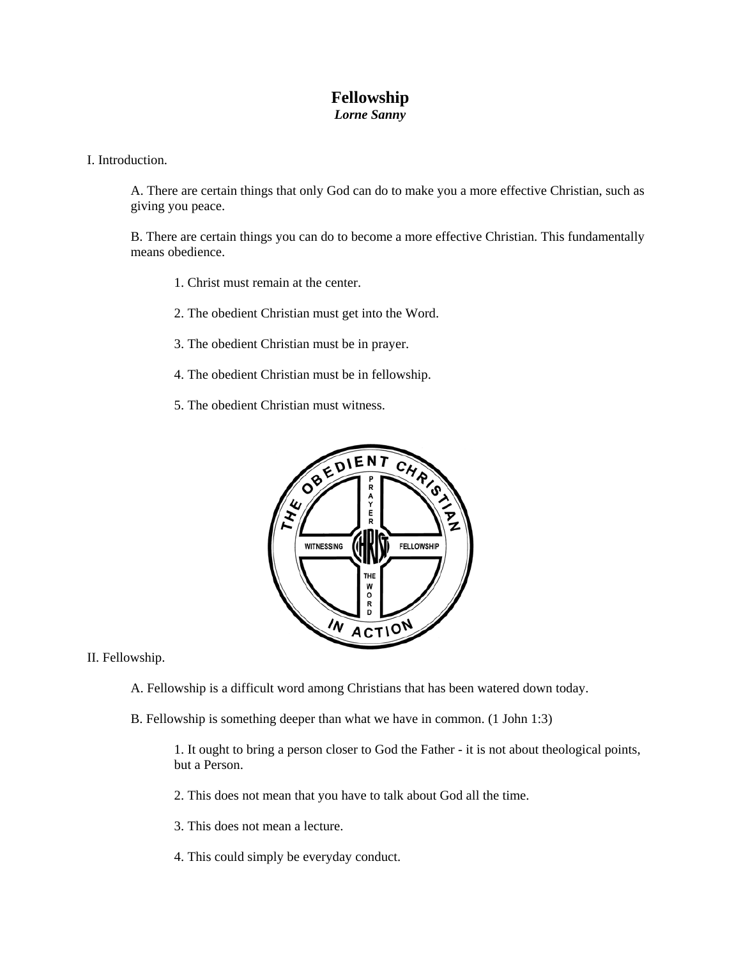## **Fellowship**  *Lorne Sanny*

I. Introduction.

A. There are certain things that only God can do to make you a more effective Christian, such as giving you peace.

B. There are certain things you can do to become a more effective Christian. This fundamentally means obedience.

- 1. Christ must remain at the center.
- 2. The obedient Christian must get into the Word.
- 3. The obedient Christian must be in prayer.
- 4. The obedient Christian must be in fellowship.
- 5. The obedient Christian must witness.



II. Fellowship.

- A. Fellowship is a difficult word among Christians that has been watered down today.
- B. Fellowship is something deeper than what we have in common. (1 John 1:3)

1. It ought to bring a person closer to God the Father - it is not about theological points, but a Person.

- 2. This does not mean that you have to talk about God all the time.
- 3. This does not mean a lecture.
- 4. This could simply be everyday conduct.